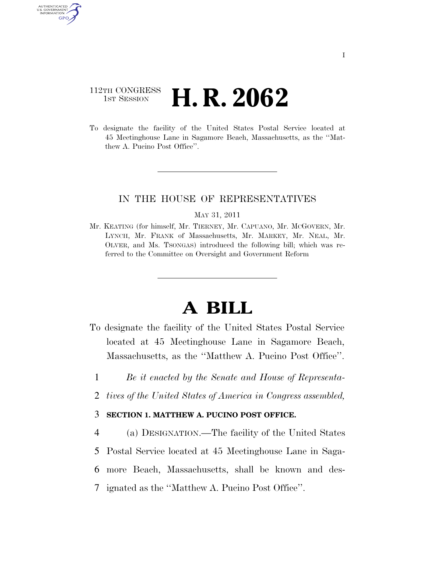# 112TH CONGRESS **1st Session H. R. 2062**

AUTHENTICATED U.S. GOVERNMENT GPO

> To designate the facility of the United States Postal Service located at 45 Meetinghouse Lane in Sagamore Beach, Massachusetts, as the ''Matthew A. Pucino Post Office''.

## IN THE HOUSE OF REPRESENTATIVES

#### MAY 31, 2011

Mr. KEATING (for himself, Mr. TIERNEY, Mr. CAPUANO, Mr. MCGOVERN, Mr. LYNCH, Mr. FRANK of Massachusetts, Mr. MARKEY, Mr. NEAL, Mr. OLVER, and Ms. TSONGAS) introduced the following bill; which was referred to the Committee on Oversight and Government Reform

# **A BILL**

- To designate the facility of the United States Postal Service located at 45 Meetinghouse Lane in Sagamore Beach, Massachusetts, as the ''Matthew A. Pucino Post Office''.
	- 1 *Be it enacted by the Senate and House of Representa-*
	- 2 *tives of the United States of America in Congress assembled,*

### 3 **SECTION 1. MATTHEW A. PUCINO POST OFFICE.**

 (a) DESIGNATION.—The facility of the United States Postal Service located at 45 Meetinghouse Lane in Saga- more Beach, Massachusetts, shall be known and des-ignated as the ''Matthew A. Pucino Post Office''.